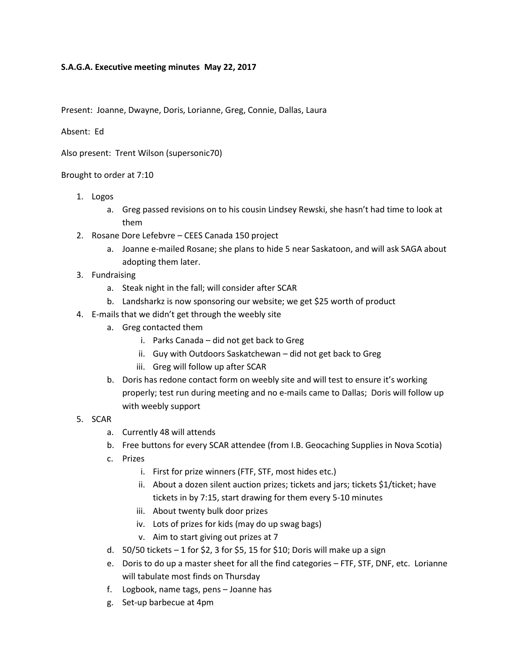## **S.A.G.A. Executive meeting minutes May 22, 2017**

Present: Joanne, Dwayne, Doris, Lorianne, Greg, Connie, Dallas, Laura

## Absent: Ed

Also present: Trent Wilson (supersonic70)

## Brought to order at 7:10

- 1. Logos
	- a. Greg passed revisions on to his cousin Lindsey Rewski, she hasn't had time to look at them
- 2. Rosane Dore Lefebvre CEES Canada 150 project
	- a. Joanne e-mailed Rosane; she plans to hide 5 near Saskatoon, and will ask SAGA about adopting them later.
- 3. Fundraising
	- a. Steak night in the fall; will consider after SCAR
	- b. Landsharkz is now sponsoring our website; we get \$25 worth of product
- 4. E-mails that we didn't get through the weebly site
	- a. Greg contacted them
		- i. Parks Canada did not get back to Greg
		- ii. Guy with Outdoors Saskatchewan did not get back to Greg
		- iii. Greg will follow up after SCAR
	- b. Doris has redone contact form on weebly site and will test to ensure it's working properly; test run during meeting and no e-mails came to Dallas; Doris will follow up with weebly support
- 5. SCAR
	- a. Currently 48 will attends
	- b. Free buttons for every SCAR attendee (from I.B. Geocaching Supplies in Nova Scotia)
	- c. Prizes
		- i. First for prize winners (FTF, STF, most hides etc.)
		- ii. About a dozen silent auction prizes; tickets and jars; tickets \$1/ticket; have tickets in by 7:15, start drawing for them every 5-10 minutes
		- iii. About twenty bulk door prizes
		- iv. Lots of prizes for kids (may do up swag bags)
		- v. Aim to start giving out prizes at 7
	- d.  $50/50$  tickets  $-1$  for \$2, 3 for \$5, 15 for \$10; Doris will make up a sign
	- e. Doris to do up a master sheet for all the find categories FTF, STF, DNF, etc. Lorianne will tabulate most finds on Thursday
	- f. Logbook, name tags, pens Joanne has
	- g. Set-up barbecue at 4pm